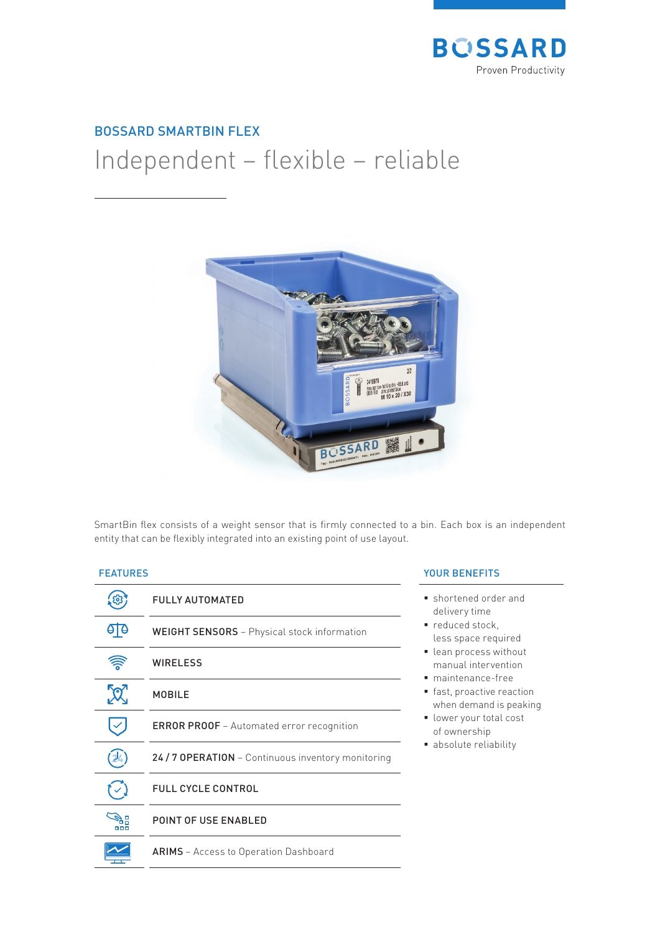

## BOSSARD SMARTBIN FLEX

# Independent - flexible - reliable



SmartBin flex consists of a weight sensor that is firmly connected to a bin. Each box is an independent entity that can be flexibly integrated into an existing point of use layout.

### FEATURES

|               | <b>FULLY AUTOMATED</b>                             |
|---------------|----------------------------------------------------|
|               | <b>WEIGHT SENSORS</b> - Physical stock information |
|               | <b>WIRELESS</b>                                    |
| $\mathcal{R}$ | <b>MOBILE</b>                                      |
|               | <b>ERROR PROOF</b> - Automated error recognition   |
|               | 24 / 7 OPERATION - Continuous inventory monitoring |
|               | <b>FULL CYCLE CONTROL</b>                          |
| nnn           | <b>POINT OF USE ENABLED</b>                        |
|               | <b>ARIMS</b> - Access to Operation Dashboard       |

#### YOUR BENEFITS

- shortened order and delivery time
- reduced stock, less space required
- lean process without manual intervention
- maintenance-free
- **fast, proactive reaction** when demand is peaking
- **I** lower your total cost of ownership
- absolute reliability